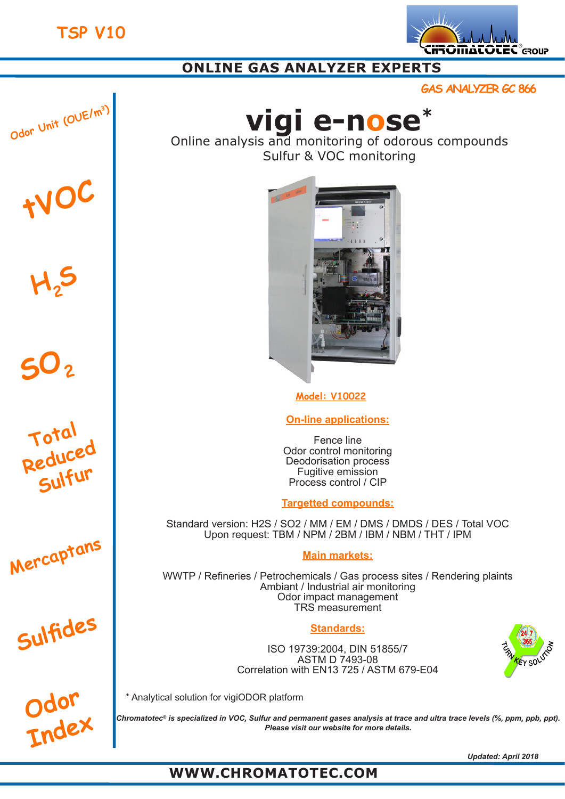

# **ONLINE GAS ANALYZER EXPERTS**

**GAS ANALYZER GC 866**

$$
\left.\frac{\text{O}\text{d}^2}{\text{O}\text{d}^2}\right|
$$

**H2<sup>S</sup>**

**tVOC**

**SO<sup>2</sup>**

**Total** 

**Reduced** 

**Sulfur**

**Mercaptans**

**Sulfides**



Online analysis and monitoring of odorous compounds Sulfur & VOC monitoring



**Model: V10022**

**On-line applications:**

Fence line Odor control monitoring Deodorisation process Fugitive emission Process control / CIP

**Targetted compounds:**

Standard version: H2S / SO2 / MM / EM / DMS / DMDS / DES / Total VOC Upon request: TBM / NPM / 2BM / IBM / NBM / THT / IPM

## **Main markets:**

WWTP / Refineries / Petrochemicals / Gas process sites / Rendering plaints Ambiant / Industrial air monitoring Odor impact management TRS measurement

## **Standards:**

ISO 19739:2004, DIN 51855/7 ASTM D 7493-08 Correlation with EN13 725 / ASTM 679-E04





\* Analytical solution for vigiODOR platform

*Chromatotec® is specialized in VOC, Sulfur and permanent gases analysis at trace and ultra trace levels (%, ppm, ppb, ppt). Please visit our website for more details.*

*Updated: April 2018*

# **WWW.CHROMATOTEC.COM**